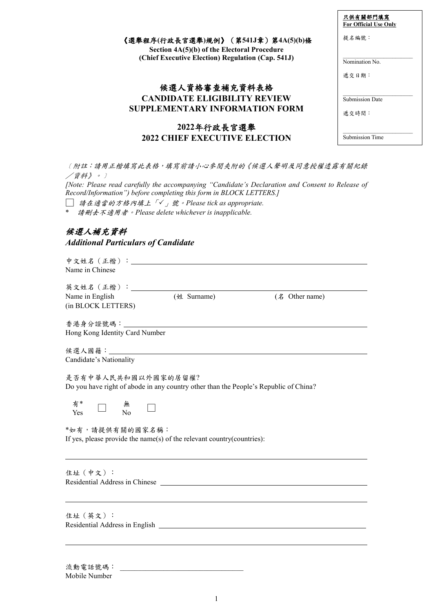|                                                                                   | 只供有關部門填寫<br><b>For Official Use Only</b> |
|-----------------------------------------------------------------------------------|------------------------------------------|
| 《選舉程序(行政長官選舉)規例》(第541J章)第4A(5)(b)條<br>Section 4A(5)(b) of the Electoral Procedure | 提名編號:                                    |
| (Chief Executive Election) Regulation (Cap. 541J)                                 | Nomination No.<br>遞交日期:                  |
| 候選人資格審查補充資料表格                                                                     |                                          |
| <b>CANDIDATE ELIGIBILITY REVIEW</b><br><b>SUPPLEMENTARY INFORMATION FORM</b>      | <b>Submission Date</b><br>遞交時間:          |
| 2022年行政長官選舉                                                                       |                                          |
| <b>2022 CHIEF EXECUTIVE ELECTION</b>                                              | <b>Submission Time</b>                   |

**CANDIDATE ELIGIBILITY REVIEW SUPPLEMENTARY INFORMATION FORM 2022**年行政長官選舉 **2022 CHIEF EXECUTIVE ELECTION**

〔附註:請用正楷填寫此表格,填寫前請小心參閱夾附的《候選人聲明及同 /資料》。﹞ *[Note: Please read carefully the accompanying "Candidate's Declaration and Consent to Release of Record/Information") before completing this form in BLOCK LETTERS.]* □ 請在適當的方格內填上「」號。*Please tick as appropriate.*

\* 請刪去不適用者。*Please delete whichever is inapplicable.*

# 候選人補充資料

#### *Additional Particulars of Candidate*

| Name in Chinese                       |                                                                                                                                                                                                                                      |                |
|---------------------------------------|--------------------------------------------------------------------------------------------------------------------------------------------------------------------------------------------------------------------------------------|----------------|
| 英文姓名 (正楷): ___________                |                                                                                                                                                                                                                                      |                |
| Name in English<br>(in BLOCK LETTERS) | (姓 Surname)                                                                                                                                                                                                                          | (名 Other name) |
| Hong Kong Identity Card Number        |                                                                                                                                                                                                                                      |                |
| Candidate's Nationality               |                                                                                                                                                                                                                                      |                |
| 是否有中華人民共和國以外國家的居留權?                   | Do you have right of abode in any country other than the People's Republic of China?                                                                                                                                                 |                |
| 有*<br>$\overline{N_0}$<br>Yes         |                                                                                                                                                                                                                                      |                |
| *如有,請提供有關的國家名稱:                       | If yes, please provide the name(s) of the relevant country(countries):                                                                                                                                                               |                |
| 住址 (中文):                              | Residential Address in Chinese <u>contract the contract of the set of the set of the set of the set of the set of the set of the set of the set of the set of the set of the set of the set of the set of the set of the set of </u> |                |
|                                       |                                                                                                                                                                                                                                      |                |

住址(英文): Residential Address in English

 $\overline{a}$ 

流動電話號碼: Mobile Number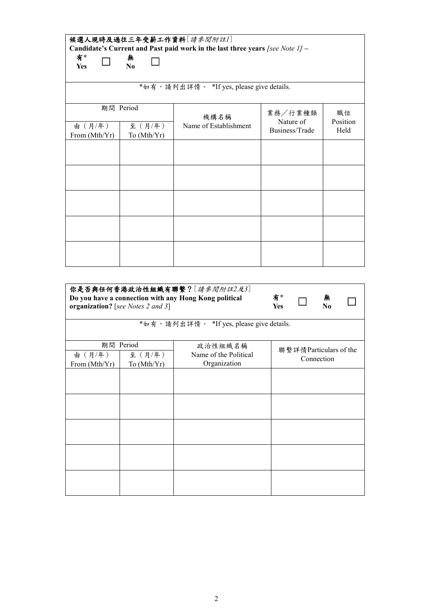| 候選人現時及過往三年受薪工作資料[請參閱附註1] |             |                                                                                  |                      |                |  |  |
|--------------------------|-------------|----------------------------------------------------------------------------------|----------------------|----------------|--|--|
|                          |             | Candidate's Current and Past paid work in the last three years [see Note $1$ ] – |                      |                |  |  |
| 有*<br>Yes                | 無<br>N0     |                                                                                  |                      |                |  |  |
|                          |             | *如有, 請列出詳情。 *If yes, please give details.                                        |                      |                |  |  |
|                          | 期間 Period   | 機構名稱                                                                             | 業務/行業種類<br>Nature of | 職位<br>Position |  |  |
| 由 (月/年)                  | 至 (月/年)     | Name of Establishment                                                            | Business/Trade       | Held           |  |  |
| From (Mth/Yr)            | To (Mth/Yr) |                                                                                  |                      |                |  |  |
|                          |             |                                                                                  |                      |                |  |  |
|                          |             |                                                                                  |                      |                |  |  |
|                          |             |                                                                                  |                      |                |  |  |
|                          |             |                                                                                  |                      |                |  |  |
|                          |             |                                                                                  |                      |                |  |  |

|                          | 你是否與任何香港政治性組織有聯繫? [請參閱附註2及3]<br>Do you have a connection with any Hong Kong political<br>organization? [see Notes 2 and 3] | 有*<br>Yes                                 |            | 無<br>N <sub>0</sub>    |  |  |
|--------------------------|----------------------------------------------------------------------------------------------------------------------------|-------------------------------------------|------------|------------------------|--|--|
|                          |                                                                                                                            | *如有, 請列出詳情。 *If yes, please give details. |            |                        |  |  |
|                          | 期間 Period                                                                                                                  | 政治性組織名稱                                   |            | 聯繫詳情Particulars of the |  |  |
| 由 (月/年)<br>From (Mth/Yr) | 至(月/年)<br>To (Mth/Yr)                                                                                                      | Name of the Political<br>Organization     | Connection |                        |  |  |
|                          |                                                                                                                            |                                           |            |                        |  |  |
|                          |                                                                                                                            |                                           |            |                        |  |  |
|                          |                                                                                                                            |                                           |            |                        |  |  |
|                          |                                                                                                                            |                                           |            |                        |  |  |
|                          |                                                                                                                            |                                           |            |                        |  |  |
|                          |                                                                                                                            |                                           |            |                        |  |  |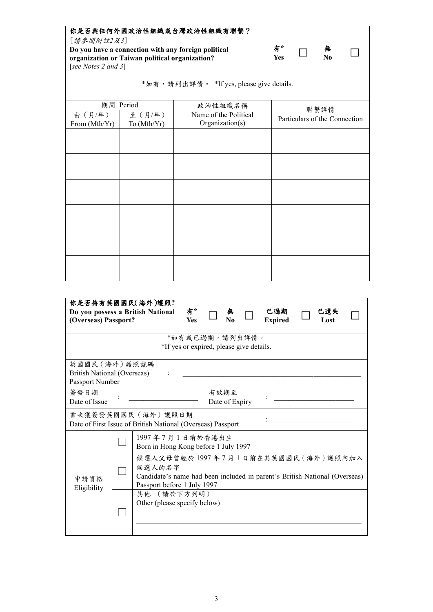# 你是否與任何外國政治性組織或台灣政治性組織有聯繫?

[請參閲附註*2*及*3*] **Do you have a connection with any foreign political organization or Taiwan political organization?** [*see Notes 2 and 3*]

| 有*  | 黒   |
|-----|-----|
| Yes | No. |

**No** □

|                          |                       | *如有, 請列出詳情。 *If yes, please give details. |                                       |
|--------------------------|-----------------------|-------------------------------------------|---------------------------------------|
|                          | 期間 Period             | 政治性組織名稱                                   |                                       |
| 由 (月/年)<br>From (Mth/Yr) | 至(月/年)<br>To (Mth/Yr) | Name of the Political<br>Organization(s)  | 聯繫詳情<br>Particulars of the Connection |
|                          |                       |                                           |                                       |
|                          |                       |                                           |                                       |
|                          |                       |                                           |                                       |
|                          |                       |                                           |                                       |
|                          |                       |                                           |                                       |
|                          |                       |                                           |                                       |
|                          |                       |                                           |                                       |
|                          |                       |                                           |                                       |
|                          |                       |                                           |                                       |
|                          |                       |                                           |                                       |
|                          |                       |                                           |                                       |

| (Overseas) Passport?                                                                      |                                                            | 你是否持有英國國民(海外)護照?<br>Do you possess a British National                                                                     | 有*<br><b>Yes</b> |  | N0                     |  | 已過期<br><b>Expired</b> |  | 已遺失<br>Lost |  |
|-------------------------------------------------------------------------------------------|------------------------------------------------------------|---------------------------------------------------------------------------------------------------------------------------|------------------|--|------------------------|--|-----------------------|--|-------------|--|
|                                                                                           | *如有或已過期,請列出詳情。<br>*If yes or expired, please give details. |                                                                                                                           |                  |  |                        |  |                       |  |             |  |
| 英國國民(海外)護照號碼<br><b>British National (Overseas)</b><br>Passport Number                     |                                                            |                                                                                                                           |                  |  |                        |  |                       |  |             |  |
| 簽發日期<br>Date of Issue                                                                     |                                                            |                                                                                                                           |                  |  | 有效期至<br>Date of Expiry |  |                       |  |             |  |
| 首次獲簽發英國國民(海外)護照日期<br>Date of First Issue of British National (Overseas) Passport          |                                                            |                                                                                                                           |                  |  |                        |  |                       |  |             |  |
|                                                                                           |                                                            | 1997年7月1日前於香港出生<br>Born in Hong Kong before 1 July 1997                                                                   |                  |  |                        |  |                       |  |             |  |
| 申請資格                                                                                      |                                                            | 候選人父母曾經於1997年7月1日前在其英國國民(海外)護照內加入<br>候選人的名字<br>Candidate's name had been included in parent's British National (Overseas) |                  |  |                        |  |                       |  |             |  |
| Passport before 1 July 1997<br>Eligibility<br>其他 (請於下方列明)<br>Other (please specify below) |                                                            |                                                                                                                           |                  |  |                        |  |                       |  |             |  |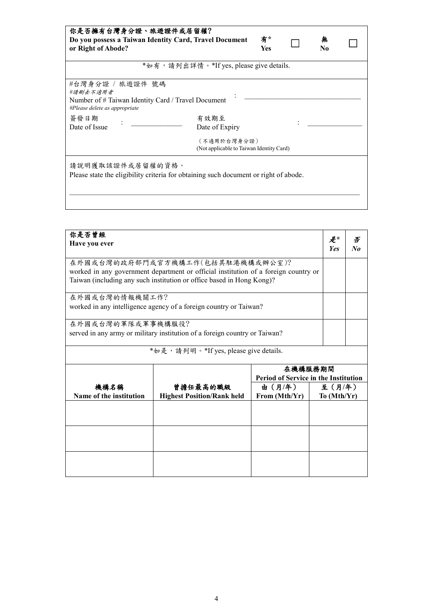## 你是否擁有台灣身分證、旅遊證件或居留權?

**Do you possess a Taiwan Identity Card, Travel Document or Right of Abode?**

| 有*  | 無              |
|-----|----------------|
| Yes | N <sub>0</sub> |

□

| *如有,請列出詳情。*If yes, please give details.            |  |
|----------------------------------------------------|--|
| #台灣身分證 / 旅遊證件 號碼<br>#請刪去不適用者                       |  |
| Number of # Taiwan Identity Card / Travel Document |  |

*#Please delete as appropriate* 簽發日期

 $\overline{D}$  ate of Issue :

有效期至  $\forall A \times A$   $\equiv$   $\therefore$  Date of Expiry  $\therefore$ 

\_\_\_\_\_\_\_\_\_\_\_\_\_\_\_\_\_\_\_\_\_\_\_\_\_\_\_\_\_\_\_\_\_\_\_\_\_\_\_\_\_\_\_\_\_\_\_\_\_\_\_\_\_\_\_\_\_\_\_\_\_\_\_\_\_\_\_\_\_\_\_\_\_\_\_\_\_\_\_\_

(不適用於台灣身分證) (Not applicable to Taiwan Identity Card)

請說明獲取該證件或居留權的資格。

Please state the eligibility criteria for obtaining such document or right of abode.

| 你是否曾經<br>Have you ever                                                                                                                                                                           | 是*<br><b>Yes</b>                                                  | 否<br>$N_{0}$ |                        |  |  |
|--------------------------------------------------------------------------------------------------------------------------------------------------------------------------------------------------|-------------------------------------------------------------------|--------------|------------------------|--|--|
| 在外國或台灣的政府部門或官方機構工作(包括其駐港機構或辦公室)?<br>worked in any government department or official institution of a foreign country or<br>Taiwan (including any such institution or office based in Hong Kong)? |                                                                   |              |                        |  |  |
| 在外國或台灣的情報機關工作?                                                                                                                                                                                   | worked in any intelligence agency of a foreign country or Taiwan? |              |                        |  |  |
| 在外國或台灣的軍隊或軍事機構服役?<br>served in any army or military institution of a foreign country or Taiwan?                                                                                                  |                                                                   |              |                        |  |  |
|                                                                                                                                                                                                  | *如是, 請列明。*If yes, please give details.                            |              |                        |  |  |
|                                                                                                                                                                                                  | 在機構服務期間<br><b>Period of Service in the Institution</b>            |              |                        |  |  |
| 機構名稱<br>Name of the institution                                                                                                                                                                  | 曾擔任最高的職級<br><b>Highest Position/Rank held</b>                     |              | 至 (月/年)<br>To (Mth/Yr) |  |  |
|                                                                                                                                                                                                  |                                                                   |              |                        |  |  |
|                                                                                                                                                                                                  |                                                                   |              |                        |  |  |
|                                                                                                                                                                                                  |                                                                   |              |                        |  |  |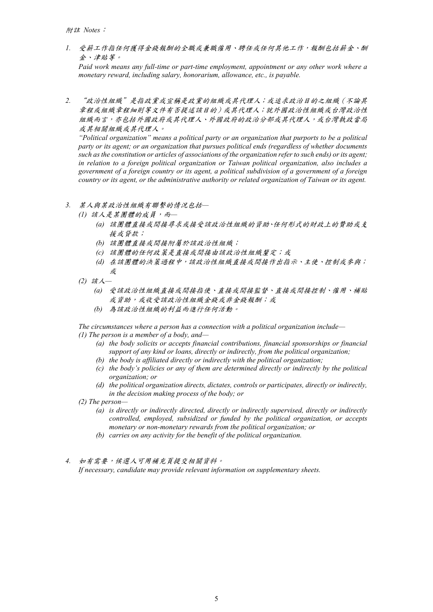*1.* 受薪工作指任何獲得金錢報酬的全職或兼職僱用、聘任或任何其他工作,報酬包括薪金、酬 金、津貼等。

*Paid work means any full-time or part-time employment, appointment or any other work where a monetary reward, including salary, honorarium, allowance, etc., is payable.*

*2.* "政治性組織"是指政黨或宣稱是政黨的組織或其代理人;或追求政治目的之組織(不論其 章程或組織章程細則等文件有否提述該目的)或其代理人;就外國政治性組織或台灣政治性 組織而言,亦包括外國政府或其代理人、外國政府的政治分部或其代理人,或台灣執政當局 或其相關組織或其代理人。

*"Political organization" means a political party or an organization that purports to be a political party or its agent; or an organization that pursues political ends (regardless of whether documents such as the constitution or articles of associations of the organization refer to such ends) or its agent; in relation to a foreign political organization or Taiwan political organization, also includes a government of a foreign country or its agent, a political subdivision of a government of a foreign country or its agent, or the administrative authority or related organization of Taiwan or its agent.* 

- *3.* 某人與某政治性組織有聯繫的情況包括*—*
	- *(1)* 該人是某團體的成員,而*—*
		- *(a)* 該團體直接或間接尋求或接受該政治性組織的資助、任何形式的財政上的贊助或支 援或貸款;
		- *(b)* 該團體直接或間接附屬於該政治性組織;
		- *(c)* 該團體的任何政策是直接或間接由該政治性組織釐定;或
		- *(d)* 在該團體的決策過程中,該政治性組織直接或間接作出指示、主使、控制或參與; 或
	- *(2)* 該人*—*
		- *(a)* 受該政治性組織直接或間接指使、直接或間接監督、直接或間接控制、僱用、補貼 或資助,或收受該政治性組織金錢或非金錢報酬;或
		- *(b)* 為該政治性組織的利益而進行任何活動。

*The circumstances where a person has a connection with a political organization include— (1) The person is a member of a body, and—*

- *(a) the body solicits or accepts financial contributions, financial sponsorships or financial support of any kind or loans, directly or indirectly, from the political organization;*
- *(b) the body is affiliated directly or indirectly with the political organization;*
- *(c) the body's policies or any of them are determined directly or indirectly by the political organization; or*
- *(d) the political organization directs, dictates, controls or participates, directly or indirectly, in the decision making process of the body; or*

*(2) The person—*

- *(a) is directly or indirectly directed, directly or indirectly supervised, directly or indirectly controlled, employed, subsidized or funded by the political organization, or accepts monetary or non-monetary rewards from the political organization; or*
- *(b) carries on any activity for the benefit of the political organization.*

*4.* 如有需要,候選人可用補充頁提交相關資料。

*If necessary, candidate may provide relevant information on supplementary sheets.*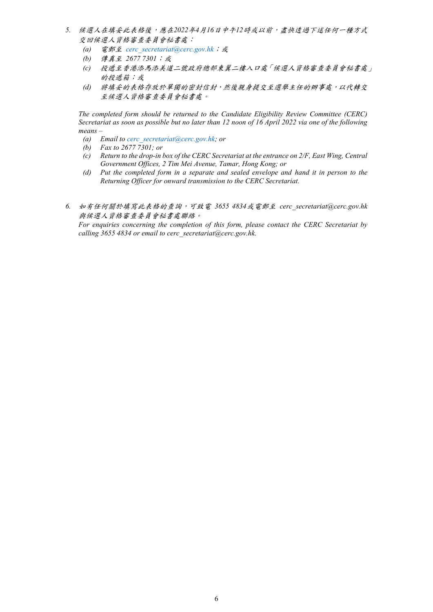- *5.* 候選人在填妥此表格後,應在*2022*年*4*月*16*日中午*12*時或以前,盡快透過下述任何一種方式 交回候選人資格審查委員會秘書處:
	- *(a)* 電郵至 *[cerc\\_secretariat@cerc.gov.hk](mailto:cerc_secretariat@cerc.gov.hk；或)*;或
	- *(b)* 傳真至 *2677 7301*;或
	- *(c)* 投遞至香港添馬添美道二號政府總部東翼二樓入口處「候選人資格審查委員會秘書處」 的投遞箱;或
	- *(d)* 將填妥的表格存放於單獨的密封信封,然後親身提交至選舉主任的辦事處,以代轉交 至候選人資格審查委員會秘書處。

*The completed form should be returned to the Candidate Eligibility Review Committee (CERC) Secretariat as soon as possible but no later than 12 noon of 16 April 2022 via one of the following means –*

- *(a) Email to [cerc\\_secretariat@cerc.gov.hk;](mailto:cerc_secretariat@cerc.gov.hk) or*
- *(b) Fax to 2677 7301; or*
- *(c) Return to the drop-in box of the CERC Secretariat at the entrance on 2/F, East Wing, Central Government Offices, 2 Tim Mei Avenue, Tamar, Hong Kong; or*
- *(d) Put the completed form in a separate and sealed envelope and hand it in person to the Returning Officer for onward transmission to the CERC Secretariat.*
- *6.* 如有任何關於填寫此表格的查詢,可致電 *3655 4834*或電郵至 *cerc\_secretariat@cerc.gov.hk* 與候選人資格審查委員會秘書處聯絡。

*For enquiries concerning the completion of this form, please contact the CERC Secretariat by calling 3655 4834 or email to cerc\_secretariat@cerc.gov.hk.*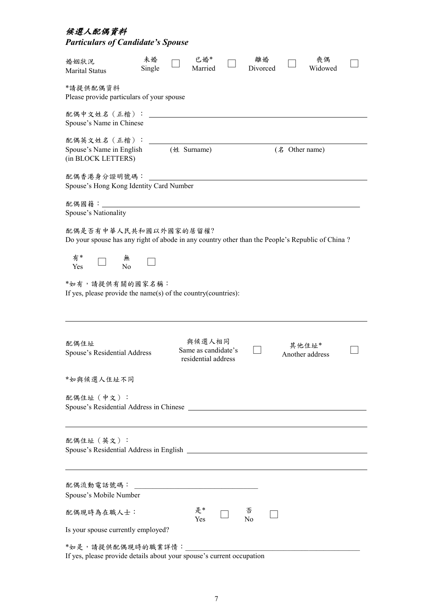#### 候選人配偶資料

| <b>Particulars of Candidate's Spouse</b>                                                                                                                      |              |                                                      |                |                          |  |
|---------------------------------------------------------------------------------------------------------------------------------------------------------------|--------------|------------------------------------------------------|----------------|--------------------------|--|
| 婚姻狀況<br>Marital Status                                                                                                                                        | 未婚<br>Single | 已婚*<br>Married                                       | 離婚<br>Divorced | 喪偶<br>Widowed            |  |
| *請提供配偶資料<br>Please provide particulars of your spouse                                                                                                         |              |                                                      |                |                          |  |
| 配偶中文姓名 (正楷):<br>Spouse's Name in Chinese                                                                                                                      |              |                                                      |                |                          |  |
| 配偶英文姓名 (正楷):<br>Spouse's Name in English<br>(in BLOCK LETTERS)                                                                                                |              | (姓 Surname)                                          |                | (名 Other name)           |  |
| 配偶香港身分證明號碼:<br>Spouse's Hong Kong Identity Card Number                                                                                                        |              |                                                      |                |                          |  |
| 配偶國籍: ______________<br>Spouse's Nationality                                                                                                                  |              |                                                      |                |                          |  |
| 配偶是否有中華人民共和國以外國家的居留權?<br>Do your spouse has any right of abode in any country other than the People's Republic of China ?<br>有*<br>無<br>$\overline{N}$<br>Yes |              |                                                      |                |                          |  |
| *如有,請提供有關的國家名稱:<br>If yes, please provide the name(s) of the country(countries):                                                                              |              |                                                      |                |                          |  |
| 配偶住址<br>Spouse's Residential Address                                                                                                                          |              | 與候選人相同<br>Same as candidate's<br>residential address |                | 其他住址*<br>Another address |  |
| *如與候選人住址不同                                                                                                                                                    |              |                                                      |                |                          |  |
| 配偶住址 (中文):                                                                                                                                                    |              |                                                      |                |                          |  |
| 配偶住址 (英文):                                                                                                                                                    |              |                                                      |                |                          |  |
| 配偶流動電話號碼:<br>Spouse's Mobile Number                                                                                                                           |              |                                                      |                |                          |  |
| 配偶現時為在職人士:                                                                                                                                                    |              | 是*<br>Yes                                            | 否<br>No        |                          |  |
| Is your spouse currently employed?                                                                                                                            |              |                                                      |                |                          |  |
| *如是,請提供配偶現時的職業詳情:                                                                                                                                             |              |                                                      |                |                          |  |

If yes, please provide details about your spouse's current occupation